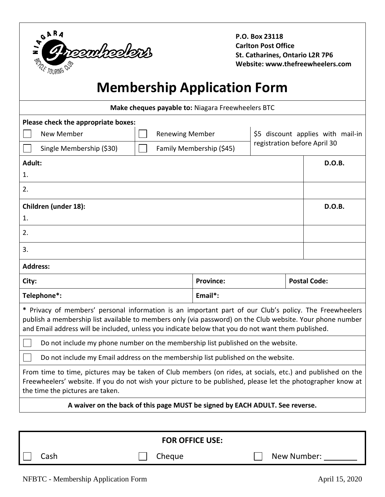

**P.O. Box 23118 Carlton Post Office St. Catharines, Ontario L2R 7P6 Website: www.thefreewheelers.com**

# **Membership Application Form**

| Make cheques payable to: Niagara Freewheelers BTC                                                                                                                                                                                                                                                                         |                          |                                                                   |                     |  |
|---------------------------------------------------------------------------------------------------------------------------------------------------------------------------------------------------------------------------------------------------------------------------------------------------------------------------|--------------------------|-------------------------------------------------------------------|---------------------|--|
| Please check the appropriate boxes:                                                                                                                                                                                                                                                                                       |                          |                                                                   |                     |  |
| New Member<br><b>Renewing Member</b>                                                                                                                                                                                                                                                                                      |                          | \$5 discount applies with mail-in<br>registration before April 30 |                     |  |
| Single Membership (\$30)                                                                                                                                                                                                                                                                                                  | Family Membership (\$45) |                                                                   |                     |  |
| Adult:                                                                                                                                                                                                                                                                                                                    |                          |                                                                   |                     |  |
| 1.                                                                                                                                                                                                                                                                                                                        |                          |                                                                   |                     |  |
| 2.                                                                                                                                                                                                                                                                                                                        |                          |                                                                   |                     |  |
| Children (under 18):                                                                                                                                                                                                                                                                                                      |                          |                                                                   | D.O.B.              |  |
| 1.                                                                                                                                                                                                                                                                                                                        |                          |                                                                   |                     |  |
| 2.                                                                                                                                                                                                                                                                                                                        |                          |                                                                   |                     |  |
| 3.                                                                                                                                                                                                                                                                                                                        |                          |                                                                   |                     |  |
| <b>Address:</b>                                                                                                                                                                                                                                                                                                           |                          |                                                                   |                     |  |
| City:                                                                                                                                                                                                                                                                                                                     | <b>Province:</b>         |                                                                   | <b>Postal Code:</b> |  |
| Telephone*:                                                                                                                                                                                                                                                                                                               | Email*:                  |                                                                   |                     |  |
| * Privacy of members' personal information is an important part of our Club's policy. The Freewheelers<br>publish a membership list available to members only (via password) on the Club website. Your phone number<br>and Email address will be included, unless you indicate below that you do not want them published. |                          |                                                                   |                     |  |
| Do not include my phone number on the membership list published on the website.                                                                                                                                                                                                                                           |                          |                                                                   |                     |  |
| Do not include my Email address on the membership list published on the website.                                                                                                                                                                                                                                          |                          |                                                                   |                     |  |
| From time to time, pictures may be taken of Club members (on rides, at socials, etc.) and published on the<br>Freewheelers' website. If you do not wish your picture to be published, please let the photographer know at<br>the time the pictures are taken.                                                             |                          |                                                                   |                     |  |
| A waiver on the back of this page MUST be signed by EACH ADULT. See reverse.                                                                                                                                                                                                                                              |                          |                                                                   |                     |  |
|                                                                                                                                                                                                                                                                                                                           |                          |                                                                   |                     |  |

| <b>FOR OFFICE USE:</b> |        |             |  |  |
|------------------------|--------|-------------|--|--|
| Cash                   | Cheque | New Number: |  |  |